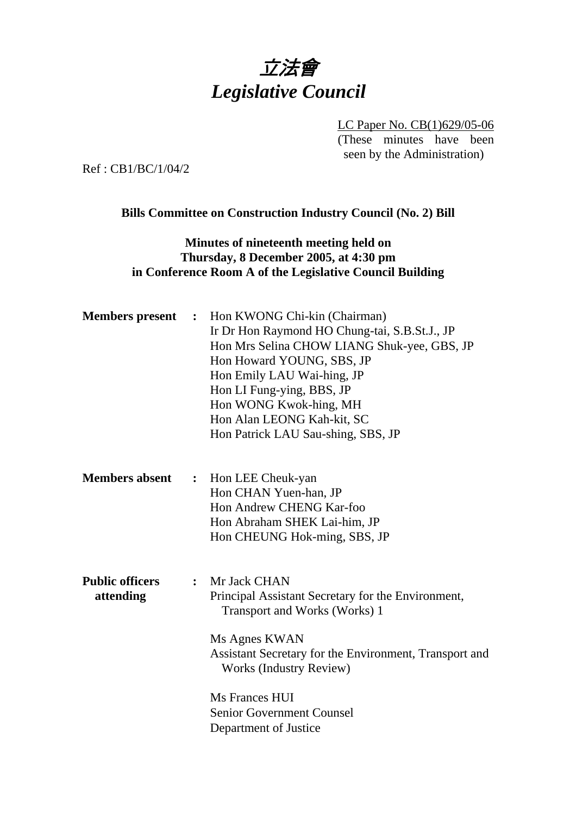# 立法會 *Legislative Council*

LC Paper No. CB(1)629/05-06 (These minutes have been seen by the Administration)

Ref : CB1/BC/1/04/2

#### **Bills Committee on Construction Industry Council (No. 2) Bill**

## **Minutes of nineteenth meeting held on Thursday, 8 December 2005, at 4:30 pm in Conference Room A of the Legislative Council Building**

| <b>Members</b> present              | : Hon KWONG Chi-kin (Chairman)<br>Ir Dr Hon Raymond HO Chung-tai, S.B.St.J., JP<br>Hon Mrs Selina CHOW LIANG Shuk-yee, GBS, JP<br>Hon Howard YOUNG, SBS, JP<br>Hon Emily LAU Wai-hing, JP<br>Hon LI Fung-ying, BBS, JP<br>Hon WONG Kwok-hing, MH<br>Hon Alan LEONG Kah-kit, SC<br>Hon Patrick LAU Sau-shing, SBS, JP |  |
|-------------------------------------|----------------------------------------------------------------------------------------------------------------------------------------------------------------------------------------------------------------------------------------------------------------------------------------------------------------------|--|
| <b>Members absent</b>               | Hon LEE Cheuk-yan<br>$\ddot{\cdot}$<br>Hon CHAN Yuen-han, JP<br>Hon Andrew CHENG Kar-foo<br>Hon Abraham SHEK Lai-him, JP<br>Hon CHEUNG Hok-ming, SBS, JP                                                                                                                                                             |  |
| <b>Public officers</b><br>attending | Mr Jack CHAN<br>$\ddot{\cdot}$<br>Principal Assistant Secretary for the Environment,<br>Transport and Works (Works) 1<br>Ms Agnes KWAN<br>Assistant Secretary for the Environment, Transport and<br><b>Works (Industry Review)</b><br>Ms Frances HUI<br><b>Senior Government Counsel</b><br>Department of Justice    |  |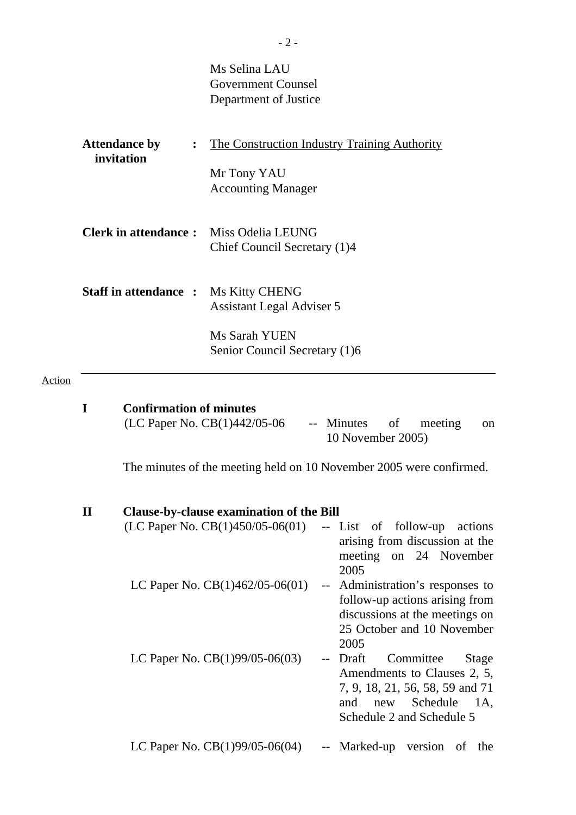|                                                      | Ms Selina LAU<br><b>Government Counsel</b><br>Department of Justice                                         |
|------------------------------------------------------|-------------------------------------------------------------------------------------------------------------|
| <b>Attendance by</b><br>$\ddot{\cdot}$<br>invitation | <u>The Construction Industry Training Authority</u><br>Mr Tony YAU<br><b>Accounting Manager</b>             |
| <b>Clerk in attendance:</b> Miss Odelia LEUNG        | Chief Council Secretary (1)4                                                                                |
| <b>Staff in attendance:</b>                          | <b>Ms Kitty CHENG</b><br><b>Assistant Legal Adviser 5</b><br>Ms Sarah YUEN<br>Senior Council Secretary (1)6 |
|                                                      |                                                                                                             |

# Action

| T            | <b>Confirmation of minutes</b>                                      |                                                                                                                                                                     |
|--------------|---------------------------------------------------------------------|---------------------------------------------------------------------------------------------------------------------------------------------------------------------|
|              | (LC Paper No. CB(1)442/05-06                                        | -- Minutes<br>of<br>meeting<br><sub>on</sub><br>10 November 2005)                                                                                                   |
|              | The minutes of the meeting held on 10 November 2005 were confirmed. |                                                                                                                                                                     |
| $\mathbf{I}$ | <b>Clause-by-clause examination of the Bill</b>                     |                                                                                                                                                                     |
|              | (LC Paper No. $CB(1)450/05-06(01)$                                  | -- List of follow-up<br>actions<br>arising from discussion at the<br>meeting on 24 November<br>2005                                                                 |
|              | LC Paper No. $CB(1)462/05-06(01)$                                   | -- Administration's responses to<br>follow-up actions arising from<br>discussions at the meetings on<br>25 October and 10 November<br>2005                          |
|              | LC Paper No. CB(1)99/05-06(03)                                      | Committee<br>Draft<br>Stage<br>$--$<br>Amendments to Clauses 2, 5,<br>7, 9, 18, 21, 56, 58, 59 and 71<br>Schedule<br>and<br>1A,<br>new<br>Schedule 2 and Schedule 5 |
|              | LC Paper No. $CB(1)99/05-06(04)$                                    | -- Marked-up version<br>of the                                                                                                                                      |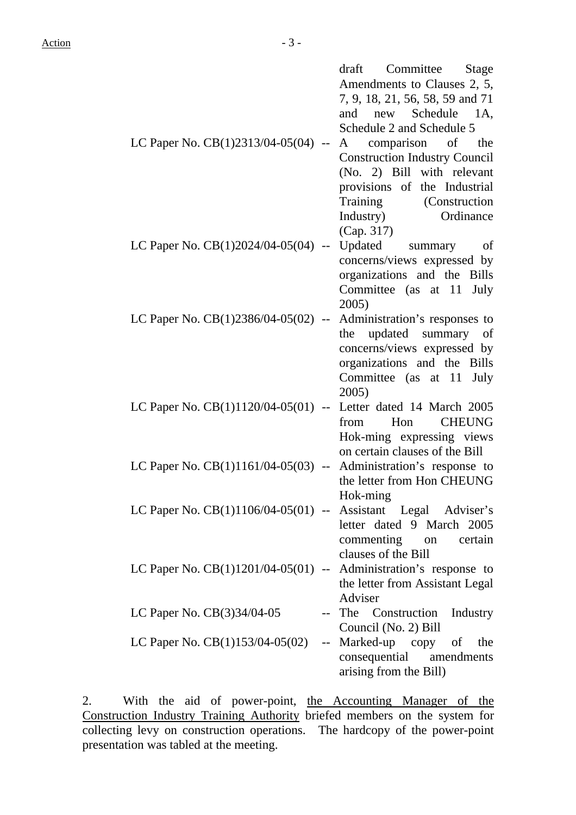|                                                                    | draft<br>Committee<br>Stage          |
|--------------------------------------------------------------------|--------------------------------------|
|                                                                    | Amendments to Clauses 2, 5,          |
|                                                                    | 7, 9, 18, 21, 56, 58, 59 and 71      |
|                                                                    | and new Schedule 1A,                 |
|                                                                    | Schedule 2 and Schedule 5            |
| LC Paper No. CB(1)2313/04-05(04) --                                | comparison of the<br>$\mathbf{A}$    |
|                                                                    | <b>Construction Industry Council</b> |
|                                                                    | (No. 2) Bill with relevant           |
|                                                                    | provisions of the Industrial         |
|                                                                    | Training (Construction               |
|                                                                    | Ordinance<br>Industry)               |
|                                                                    | (Cap. 317)                           |
| LC Paper No. $CB(1)2024/04-05(04)$ --                              | Updated summary<br>of                |
|                                                                    | concerns/views expressed by          |
|                                                                    |                                      |
|                                                                    | organizations and the Bills          |
|                                                                    | Committee (as at 11<br>July          |
|                                                                    | 2005)                                |
| LC Paper No. $CB(1)2386/04-05(02)$ --                              | Administration's responses to        |
|                                                                    | the updated summary of               |
|                                                                    | concerns/views expressed by          |
|                                                                    | organizations and the Bills          |
|                                                                    | Committee (as at 11<br>July          |
|                                                                    | 2005)                                |
| LC Paper No. $CB(1)1120/04-05(01)$ --                              | Letter dated 14 March 2005           |
|                                                                    | from<br>Hon<br><b>CHEUNG</b>         |
|                                                                    | Hok-ming expressing views            |
|                                                                    | on certain clauses of the Bill       |
| LC Paper No. $CB(1)1161/04-05(03)$ -- Administration's response to |                                      |
|                                                                    | the letter from Hon CHEUNG           |
|                                                                    | Hok-ming                             |
| LC Paper No. CB(1)1106/04-05(01) -- Assistant Legal Adviser's      |                                      |
|                                                                    | letter dated 9 March 2005            |
|                                                                    | commenting on certain                |
|                                                                    | clauses of the Bill                  |
| LC Paper No. $CB(1)1201/04-05(01)$ -- Administration's response to |                                      |
|                                                                    | the letter from Assistant Legal      |
|                                                                    | Adviser                              |
| LC Paper No. $CB(3)34/04-05$                                       | -- The Construction<br>Industry      |
|                                                                    | Council (No. 2) Bill                 |
| LC Paper No. $CB(1)153/04-05(02)$                                  | -- Marked-up copy of the             |
|                                                                    | consequential amendments             |
|                                                                    | arising from the Bill)               |

2. With the aid of power-point, the Accounting Manager of the Construction Industry Training Authority briefed members on the system for collecting levy on construction operations. The hardcopy of the power-point presentation was tabled at the meeting.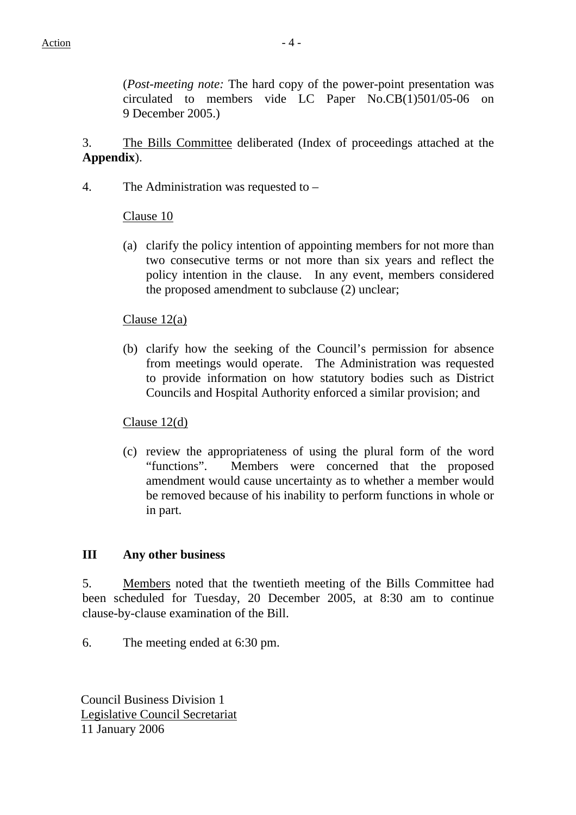(*Post-meeting note:* The hard copy of the power-point presentation was circulated to members vide LC Paper No.CB(1)501/05-06 on 9 December 2005.)

3. The Bills Committee deliberated (Index of proceedings attached at the **Appendix**).

4. The Administration was requested to –

## Clause 10

(a) clarify the policy intention of appointing members for not more than two consecutive terms or not more than six years and reflect the policy intention in the clause. In any event, members considered the proposed amendment to subclause (2) unclear;

#### Clause 12(a)

(b) clarify how the seeking of the Council's permission for absence from meetings would operate. The Administration was requested to provide information on how statutory bodies such as District Councils and Hospital Authority enforced a similar provision; and

Clause 12(d)

(c) review the appropriateness of using the plural form of the word "functions". Members were concerned that the proposed amendment would cause uncertainty as to whether a member would be removed because of his inability to perform functions in whole or in part.

#### **III Any other business**

5. Members noted that the twentieth meeting of the Bills Committee had been scheduled for Tuesday, 20 December 2005, at 8:30 am to continue clause-by-clause examination of the Bill.

6. The meeting ended at 6:30 pm.

Council Business Division 1 Legislative Council Secretariat 11 January 2006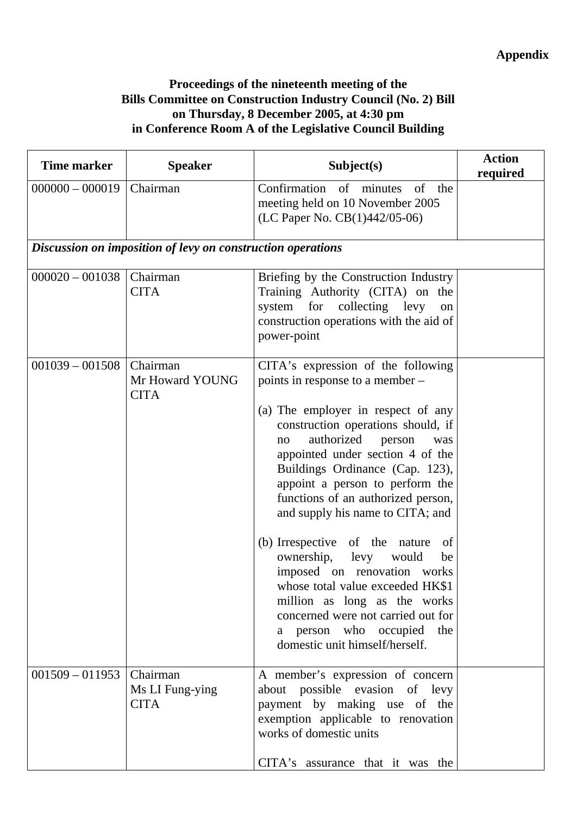# **Appendix**

## **Proceedings of the nineteenth meeting of the Bills Committee on Construction Industry Council (No. 2) Bill on Thursday, 8 December 2005, at 4:30 pm in Conference Room A of the Legislative Council Building**

| <b>Time marker</b> | <b>Speaker</b>                                              | Subject(s)                                                                                                                                                                                                                                                                                                                                                                                                                                                                                                                                                                                                                                                          | <b>Action</b><br>required |
|--------------------|-------------------------------------------------------------|---------------------------------------------------------------------------------------------------------------------------------------------------------------------------------------------------------------------------------------------------------------------------------------------------------------------------------------------------------------------------------------------------------------------------------------------------------------------------------------------------------------------------------------------------------------------------------------------------------------------------------------------------------------------|---------------------------|
| $000000 - 000019$  | Chairman                                                    | Confirmation of minutes<br>of<br>the<br>meeting held on 10 November 2005<br>(LC Paper No. CB(1)442/05-06)                                                                                                                                                                                                                                                                                                                                                                                                                                                                                                                                                           |                           |
|                    | Discussion on imposition of levy on construction operations |                                                                                                                                                                                                                                                                                                                                                                                                                                                                                                                                                                                                                                                                     |                           |
| $000020 - 001038$  | Chairman<br><b>CITA</b>                                     | Briefing by the Construction Industry<br>Training Authority (CITA) on the<br>for collecting levy<br>system<br>on<br>construction operations with the aid of<br>power-point                                                                                                                                                                                                                                                                                                                                                                                                                                                                                          |                           |
| $001039 - 001508$  | Chairman<br>Mr Howard YOUNG<br><b>CITA</b>                  | CITA's expression of the following<br>points in response to a member –<br>(a) The employer in respect of any<br>construction operations should, if<br>authorized<br>person<br>was<br>no<br>appointed under section 4 of the<br>Buildings Ordinance (Cap. 123),<br>appoint a person to perform the<br>functions of an authorized person,<br>and supply his name to CITA; and<br>(b) Irrespective of the nature<br>of<br>ownership,<br>levy<br>would<br>be<br>imposed on renovation works<br>whose total value exceeded HK\$1<br>million as long as the works<br>concerned were not carried out for<br>the<br>a person who occupied<br>domestic unit himself/herself. |                           |
| $001509 - 011953$  | Chairman<br>Ms LI Fung-ying<br><b>CITA</b>                  | A member's expression of concern<br>about possible evasion of levy<br>payment by making use of the<br>exemption applicable to renovation<br>works of domestic units<br>CITA's assurance that it was the                                                                                                                                                                                                                                                                                                                                                                                                                                                             |                           |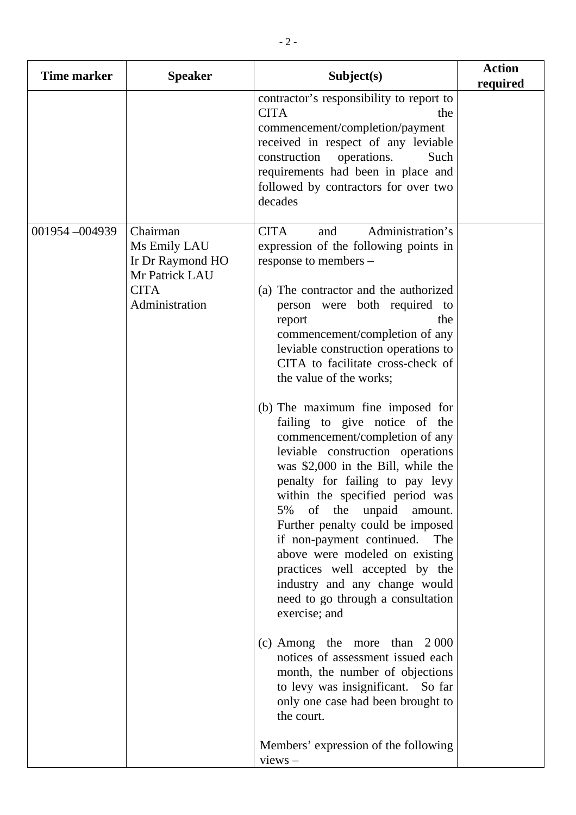| <b>Time marker</b> | <b>Speaker</b>                                                                                  | Subject(s)                                                                                                                                                                                                                                                                                                                                                                                                                                                                                                                                                                                                                                                                                                                                                                                                                                                                                                                                                                                                                                                                                                                  | <b>Action</b><br>required |
|--------------------|-------------------------------------------------------------------------------------------------|-----------------------------------------------------------------------------------------------------------------------------------------------------------------------------------------------------------------------------------------------------------------------------------------------------------------------------------------------------------------------------------------------------------------------------------------------------------------------------------------------------------------------------------------------------------------------------------------------------------------------------------------------------------------------------------------------------------------------------------------------------------------------------------------------------------------------------------------------------------------------------------------------------------------------------------------------------------------------------------------------------------------------------------------------------------------------------------------------------------------------------|---------------------------|
|                    |                                                                                                 | contractor's responsibility to report to<br><b>CITA</b><br>the<br>commencement/completion/payment<br>received in respect of any leviable<br>construction operations.<br>Such<br>requirements had been in place and<br>followed by contractors for over two<br>decades                                                                                                                                                                                                                                                                                                                                                                                                                                                                                                                                                                                                                                                                                                                                                                                                                                                       |                           |
| 001954 - 004939    | Chairman<br>Ms Emily LAU<br>Ir Dr Raymond HO<br>Mr Patrick LAU<br><b>CITA</b><br>Administration | Administration's<br><b>CITA</b><br>and<br>expression of the following points in<br>response to members –<br>(a) The contractor and the authorized<br>person were both required to<br>the<br>report<br>commencement/completion of any<br>leviable construction operations to<br>CITA to facilitate cross-check of<br>the value of the works;<br>(b) The maximum fine imposed for<br>failing to give notice of the<br>commencement/completion of any<br>leviable construction operations<br>was \$2,000 in the Bill, while the<br>penalty for failing to pay levy<br>within the specified period was<br>of the unpaid<br>5%<br>amount.<br>Further penalty could be imposed<br>if non-payment continued. The<br>above were modeled on existing<br>practices well accepted by the<br>industry and any change would<br>need to go through a consultation<br>exercise; and<br>(c) Among the more than $2000$<br>notices of assessment issued each<br>month, the number of objections<br>to levy was insignificant. So far<br>only one case had been brought to<br>the court.<br>Members' expression of the following<br>$views -$ |                           |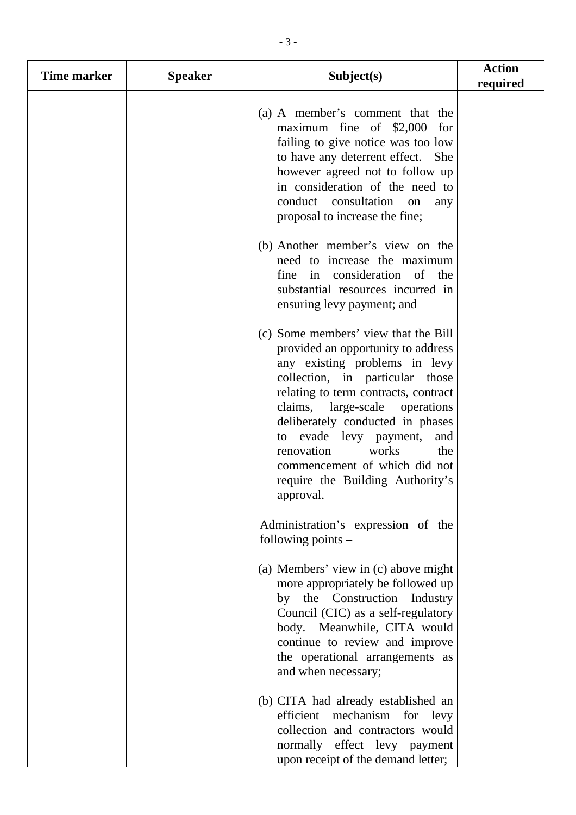| <b>Time marker</b> | <b>Speaker</b> | Subject(s)                                                                                                                                                                                                                                                                                                                                                                                                       | <b>Action</b><br>required |
|--------------------|----------------|------------------------------------------------------------------------------------------------------------------------------------------------------------------------------------------------------------------------------------------------------------------------------------------------------------------------------------------------------------------------------------------------------------------|---------------------------|
|                    |                | (a) A member's comment that the<br>maximum fine of \$2,000 for<br>failing to give notice was too low<br>to have any deterrent effect. She<br>however agreed not to follow up<br>in consideration of the need to<br>conduct consultation<br>on<br>any<br>proposal to increase the fine;                                                                                                                           |                           |
|                    |                | (b) Another member's view on the<br>need to increase the maximum<br>in consideration of the<br>fine<br>substantial resources incurred in<br>ensuring levy payment; and                                                                                                                                                                                                                                           |                           |
|                    |                | (c) Some members' view that the Bill<br>provided an opportunity to address<br>any existing problems in levy<br>collection, in particular those<br>relating to term contracts, contract<br>claims,<br>large-scale operations<br>deliberately conducted in phases<br>to evade levy payment,<br>and<br>renovation<br>works<br>the<br>commencement of which did not<br>require the Building Authority's<br>approval. |                           |
|                    |                | Administration's expression of the<br>following points $-$                                                                                                                                                                                                                                                                                                                                                       |                           |
|                    |                | (a) Members' view in (c) above might<br>more appropriately be followed up<br>by the Construction Industry<br>Council (CIC) as a self-regulatory<br>body. Meanwhile, CITA would<br>continue to review and improve<br>the operational arrangements as<br>and when necessary;                                                                                                                                       |                           |
|                    |                | (b) CITA had already established an<br>efficient<br>mechanism for levy<br>collection and contractors would<br>normally effect levy payment<br>upon receipt of the demand letter;                                                                                                                                                                                                                                 |                           |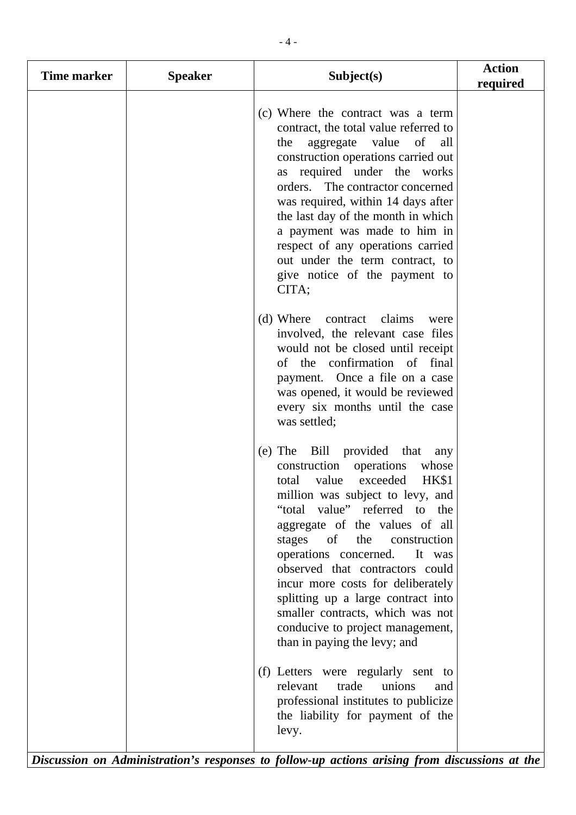| Time marker | <b>Speaker</b> | Subject(s)                                                                                                                                                                                                                                                                                                                                                                                                                                                                                                       | <b>Action</b><br>required |
|-------------|----------------|------------------------------------------------------------------------------------------------------------------------------------------------------------------------------------------------------------------------------------------------------------------------------------------------------------------------------------------------------------------------------------------------------------------------------------------------------------------------------------------------------------------|---------------------------|
|             |                | (c) Where the contract was a term<br>contract, the total value referred to<br>aggregate value<br>the<br>of<br>all<br>construction operations carried out<br>as required under the works<br>orders. The contractor concerned<br>was required, within 14 days after<br>the last day of the month in which<br>a payment was made to him in<br>respect of any operations carried<br>out under the term contract, to<br>give notice of the payment to<br>CITA;                                                        |                           |
|             |                | (d) Where contract claims<br>were<br>involved, the relevant case files<br>would not be closed until receipt<br>of the confirmation of final<br>payment. Once a file on a case<br>was opened, it would be reviewed<br>every six months until the case<br>was settled;                                                                                                                                                                                                                                             |                           |
|             |                | (e) The Bill provided that<br>any<br>construction operations<br>whose<br>value exceeded<br>HK\$1<br>total<br>million was subject to levy, and<br>"total value" referred to the<br>aggregate of the values of all<br>of<br>the<br>stages<br>construction<br>operations concerned.<br>It was<br>observed that contractors could<br>incur more costs for deliberately<br>splitting up a large contract into<br>smaller contracts, which was not<br>conducive to project management,<br>than in paying the levy; and |                           |
|             |                | (f) Letters were regularly sent to<br>relevant<br>trade<br>unions<br>and<br>professional institutes to publicize<br>the liability for payment of the<br>levy.                                                                                                                                                                                                                                                                                                                                                    |                           |

*Discussion on Administration's responses to follow-up actions arising from discussions at the*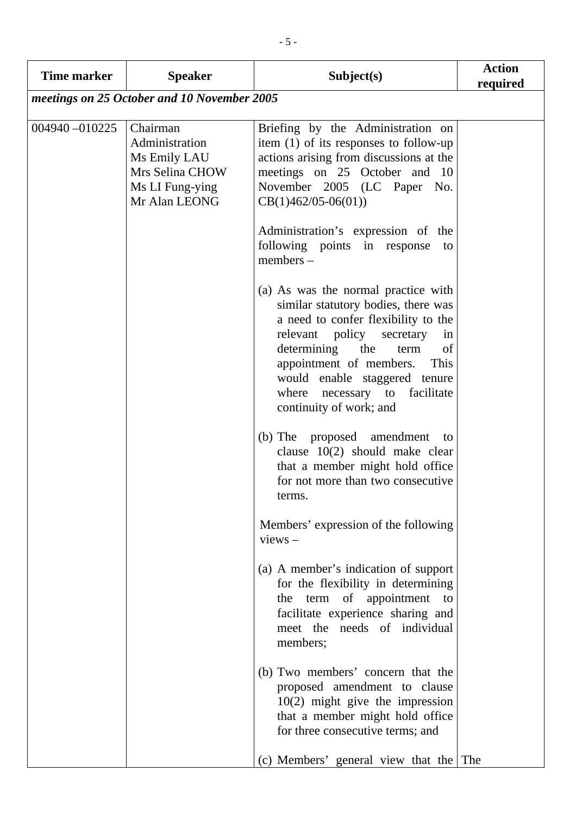| <b>Time marker</b>                          | <b>Speaker</b>                                                                                    | Subject(s)                                                                                                                                                                                                                                                                                                            | <b>Action</b><br>required |
|---------------------------------------------|---------------------------------------------------------------------------------------------------|-----------------------------------------------------------------------------------------------------------------------------------------------------------------------------------------------------------------------------------------------------------------------------------------------------------------------|---------------------------|
| meetings on 25 October and 10 November 2005 |                                                                                                   |                                                                                                                                                                                                                                                                                                                       |                           |
| 004940-010225                               | Chairman<br>Administration<br>Ms Emily LAU<br>Mrs Selina CHOW<br>Ms LI Fung-ying<br>Mr Alan LEONG | Briefing by the Administration on<br>item $(1)$ of its responses to follow-up<br>actions arising from discussions at the<br>meetings on 25 October and 10<br>November 2005 (LC Paper No.<br>$CB(1)462/05-06(01))$                                                                                                     |                           |
|                                             |                                                                                                   | Administration's expression of the<br>following points in response<br>to<br>members -                                                                                                                                                                                                                                 |                           |
|                                             |                                                                                                   | (a) As was the normal practice with<br>similar statutory bodies, there was<br>a need to confer flexibility to the<br>relevant policy secretary<br>in<br>determining the<br>of<br>term<br>appointment of members. This<br>would enable staggered tenure<br>where<br>necessary to facilitate<br>continuity of work; and |                           |
|                                             |                                                                                                   | (b) The proposed amendment<br>to<br>clause 10(2) should make clear<br>that a member might hold office<br>for not more than two consecutive<br>terms.                                                                                                                                                                  |                           |
|                                             |                                                                                                   | Members' expression of the following<br>$views -$                                                                                                                                                                                                                                                                     |                           |
|                                             |                                                                                                   | (a) A member's indication of support<br>for the flexibility in determining<br>the term of appointment<br>to<br>facilitate experience sharing and<br>meet the needs of individual<br>members;                                                                                                                          |                           |
|                                             |                                                                                                   | (b) Two members' concern that the<br>proposed amendment to clause<br>$10(2)$ might give the impression<br>that a member might hold office<br>for three consecutive terms; and                                                                                                                                         |                           |
|                                             |                                                                                                   | (c) Members' general view that the The                                                                                                                                                                                                                                                                                |                           |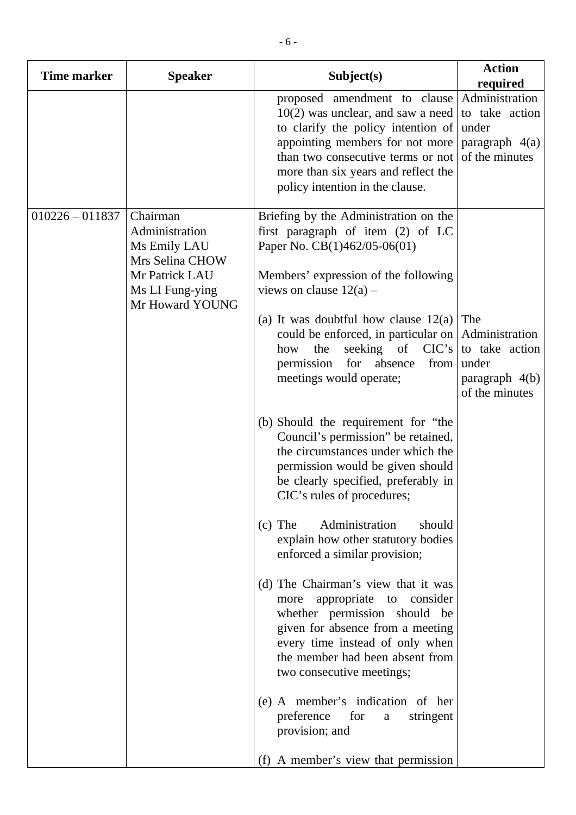| <b>Time marker</b> | <b>Speaker</b>                                                                                                        | Subject(s)                                                                                                                                                                                                                                                                                                                                                                                                                                                                                                                                                                                                                                                                                                                                                                                                                                                                                                                                                                                                                                                                     | <b>Action</b><br>required                                                              |
|--------------------|-----------------------------------------------------------------------------------------------------------------------|--------------------------------------------------------------------------------------------------------------------------------------------------------------------------------------------------------------------------------------------------------------------------------------------------------------------------------------------------------------------------------------------------------------------------------------------------------------------------------------------------------------------------------------------------------------------------------------------------------------------------------------------------------------------------------------------------------------------------------------------------------------------------------------------------------------------------------------------------------------------------------------------------------------------------------------------------------------------------------------------------------------------------------------------------------------------------------|----------------------------------------------------------------------------------------|
|                    |                                                                                                                       | proposed amendment to clause<br>$10(2)$ was unclear, and saw a need<br>to clarify the policy intention of<br>appointing members for not more<br>than two consecutive terms or not<br>more than six years and reflect the<br>policy intention in the clause.                                                                                                                                                                                                                                                                                                                                                                                                                                                                                                                                                                                                                                                                                                                                                                                                                    | Administration<br>to take action<br>under<br>paragraph 4(a)<br>of the minutes          |
| $010226 - 011837$  | Chairman<br>Administration<br>Ms Emily LAU<br>Mrs Selina CHOW<br>Mr Patrick LAU<br>Ms LI Fung-ying<br>Mr Howard YOUNG | Briefing by the Administration on the<br>first paragraph of item (2) of LC<br>Paper No. CB(1)462/05-06(01)<br>Members' expression of the following<br>views on clause $12(a)$ –<br>(a) It was doubtful how clause $12(a)$<br>could be enforced, in particular on<br>seeking of $CIC's$<br>the<br>how<br>absence<br>permission<br>for<br>from<br>meetings would operate;<br>(b) Should the requirement for "the<br>Council's permission" be retained,<br>the circumstances under which the<br>permission would be given should<br>be clearly specified, preferably in<br>CIC's rules of procedures;<br>Administration<br>$(c)$ The<br>should<br>explain how other statutory bodies<br>enforced a similar provision;<br>(d) The Chairman's view that it was<br>appropriate to<br>consider<br>more<br>whether permission should be<br>given for absence from a meeting<br>every time instead of only when<br>the member had been absent from<br>two consecutive meetings;<br>(e) A member's indication of her<br>preference<br>for<br>stringent<br>$\mathbf{a}$<br>provision; and | The<br>Administration<br>to take action<br>under<br>paragraph $4(b)$<br>of the minutes |
|                    |                                                                                                                       | (f) A member's view that permission                                                                                                                                                                                                                                                                                                                                                                                                                                                                                                                                                                                                                                                                                                                                                                                                                                                                                                                                                                                                                                            |                                                                                        |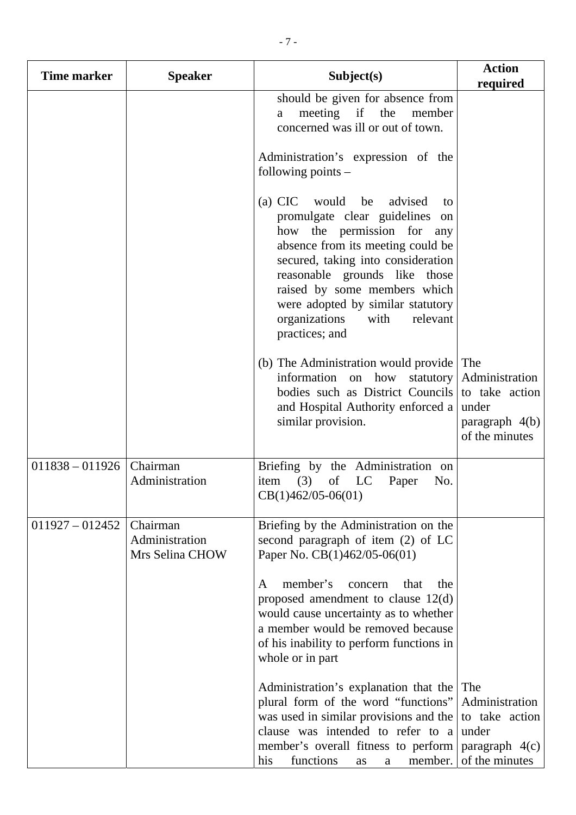| Time marker       | <b>Speaker</b>                                | Subject(s)                                                                                                                                                                                                                                                                                                                                         | <b>Action</b><br>required                                                              |
|-------------------|-----------------------------------------------|----------------------------------------------------------------------------------------------------------------------------------------------------------------------------------------------------------------------------------------------------------------------------------------------------------------------------------------------------|----------------------------------------------------------------------------------------|
|                   |                                               | should be given for absence from<br>meeting if the<br>member<br>a<br>concerned was ill or out of town.                                                                                                                                                                                                                                             |                                                                                        |
|                   |                                               | Administration's expression of the<br>following points $-$                                                                                                                                                                                                                                                                                         |                                                                                        |
|                   |                                               | (a) CIC would<br>be<br>advised<br>to<br>promulgate clear guidelines<br>on<br>how the permission for<br>any<br>absence from its meeting could be<br>secured, taking into consideration<br>reasonable grounds like those<br>raised by some members which<br>were adopted by similar statutory<br>organizations<br>with<br>relevant<br>practices; and |                                                                                        |
|                   |                                               | (b) The Administration would provide<br>information on how statutory<br>bodies such as District Councils<br>and Hospital Authority enforced a<br>similar provision.                                                                                                                                                                                | The<br>Administration<br>to take action<br>under<br>paragraph $4(b)$<br>of the minutes |
| $011838 - 011926$ | Chairman<br>Administration                    | Briefing by the Administration on<br>(3)<br>of<br>LC<br>Paper<br>No.<br>item<br>$CB(1)462/05-06(01)$                                                                                                                                                                                                                                               |                                                                                        |
| $011927 - 012452$ | Chairman<br>Administration<br>Mrs Selina CHOW | Briefing by the Administration on the<br>second paragraph of item (2) of LC<br>Paper No. CB(1)462/05-06(01)                                                                                                                                                                                                                                        |                                                                                        |
|                   |                                               | member's<br>that<br>the<br>concern<br>A<br>proposed amendment to clause $12(d)$<br>would cause uncertainty as to whether<br>a member would be removed because<br>of his inability to perform functions in<br>whole or in part                                                                                                                      |                                                                                        |
|                   |                                               | Administration's explanation that the<br>plural form of the word "functions"<br>was used in similar provisions and the<br>clause was intended to refer to a<br>member's overall fitness to perform<br>functions<br>member.<br>his<br>as<br>a                                                                                                       | The<br>Administration<br>to take action<br>under<br>paragraph $4(c)$<br>of the minutes |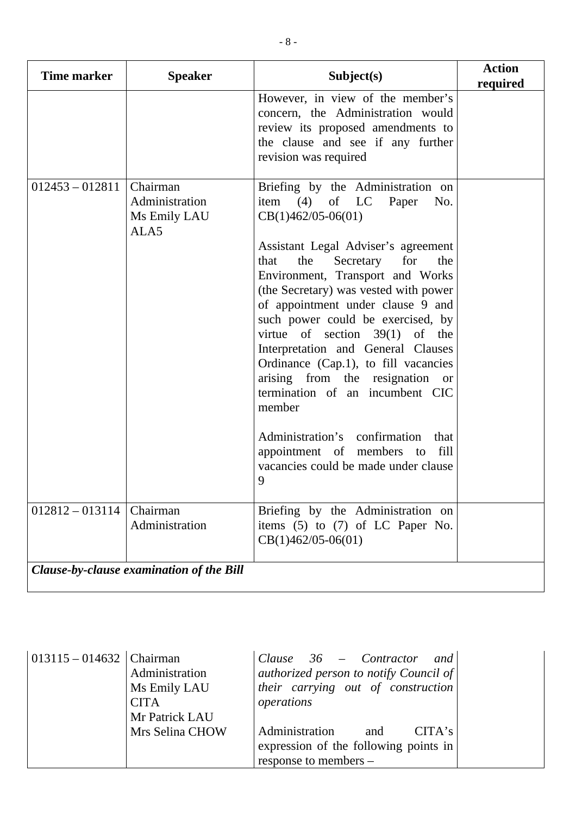| <b>Time marker</b>                       | <b>Speaker</b>                                     | Subject(s)                                                                                                                                                                                                                                                                                                                                                                                                                                                                                                                                                                                                                                                         | <b>Action</b><br>required |
|------------------------------------------|----------------------------------------------------|--------------------------------------------------------------------------------------------------------------------------------------------------------------------------------------------------------------------------------------------------------------------------------------------------------------------------------------------------------------------------------------------------------------------------------------------------------------------------------------------------------------------------------------------------------------------------------------------------------------------------------------------------------------------|---------------------------|
|                                          |                                                    | However, in view of the member's<br>concern, the Administration would<br>review its proposed amendments to<br>the clause and see if any further<br>revision was required                                                                                                                                                                                                                                                                                                                                                                                                                                                                                           |                           |
| $012453 - 012811$                        | Chairman<br>Administration<br>Ms Emily LAU<br>ALA5 | Briefing by the Administration on<br>item $(4)$ of LC<br>Paper<br>No.<br>$CB(1)462/05-06(01)$<br>Assistant Legal Adviser's agreement<br>for<br>the<br>the<br>Secretary<br>that<br>Environment, Transport and Works<br>(the Secretary) was vested with power<br>of appointment under clause 9 and<br>such power could be exercised, by<br>virtue of section $39(1)$ of the<br>Interpretation and General Clauses<br>Ordinance (Cap.1), to fill vacancies<br>arising from the resignation or<br>termination of an incumbent CIC<br>member<br>Administration's confirmation<br>that<br>fill<br>appointment of members to<br>vacancies could be made under clause<br>9 |                           |
| $012812 - 013114$                        | Chairman<br>Administration                         | Briefing by the Administration on<br>items $(5)$ to $(7)$ of LC Paper No.<br>$CB(1)462/05-06(01)$                                                                                                                                                                                                                                                                                                                                                                                                                                                                                                                                                                  |                           |
| Clause-by-clause examination of the Bill |                                                    |                                                                                                                                                                                                                                                                                                                                                                                                                                                                                                                                                                                                                                                                    |                           |

| 013115 - 014632   Chairman |                 | Clause $36$ – Contractor and           |
|----------------------------|-----------------|----------------------------------------|
|                            | Administration  | authorized person to notify Council of |
|                            | Ms Emily LAU    | their carrying out of construction     |
|                            | <b>CITA</b>     | operations                             |
|                            | Mr Patrick LAU  |                                        |
|                            | Mrs Selina CHOW | Administration<br>CITA's<br>and        |
|                            |                 | expression of the following points in  |
|                            |                 | response to members –                  |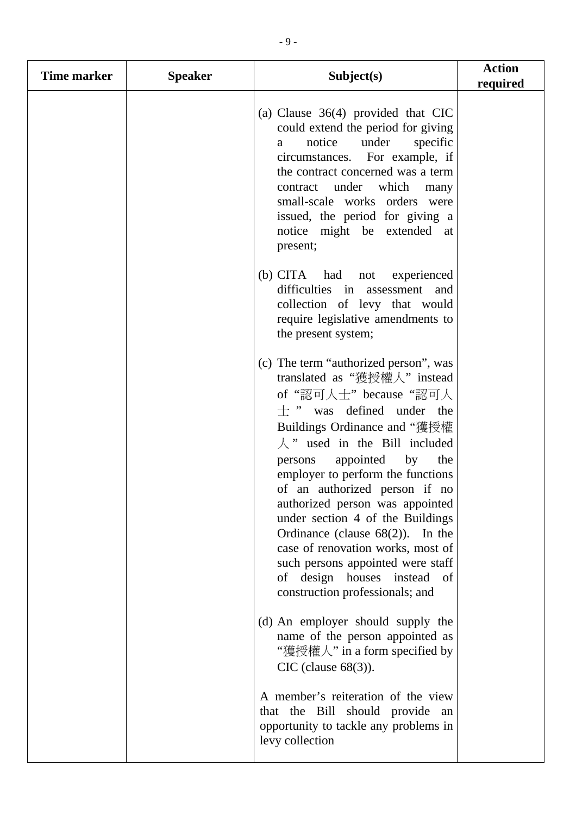| Time marker | <b>Speaker</b> | Subject(s)                                                                                                                                                                                                                                                                                                                                                                                                                                                                                                                                                                       | <b>Action</b><br>required |
|-------------|----------------|----------------------------------------------------------------------------------------------------------------------------------------------------------------------------------------------------------------------------------------------------------------------------------------------------------------------------------------------------------------------------------------------------------------------------------------------------------------------------------------------------------------------------------------------------------------------------------|---------------------------|
|             |                | (a) Clause $36(4)$ provided that CIC<br>could extend the period for giving<br>under<br>specific<br>notice<br>a<br>circumstances. For example, if<br>the contract concerned was a term<br>contract under which many<br>small-scale works orders were<br>issued, the period for giving a<br>notice might be extended at<br>present;                                                                                                                                                                                                                                                |                           |
|             |                | (b) CITA had not experienced<br>difficulties in assessment and<br>collection of levy that would<br>require legislative amendments to<br>the present system;                                                                                                                                                                                                                                                                                                                                                                                                                      |                           |
|             |                | (c) The term "authorized person", was<br>translated as "獲授權人" instead<br>of "認可人士" because "認可人<br>$\pm$ " was defined under the<br>Buildings Ordinance and "獲授權<br>$\lambda$ " used in the Bill included<br>appointed by the<br>persons<br>employer to perform the functions<br>of an authorized person if no<br>authorized person was appointed<br>under section 4 of the Buildings<br>Ordinance (clause $68(2)$ ).<br>In the<br>case of renovation works, most of<br>such persons appointed were staff<br>of design houses instead<br>- of<br>construction professionals; and |                           |
|             |                | (d) An employer should supply the<br>name of the person appointed as<br>"獲授權人" in a form specified by<br>$CIC$ (clause 68(3)).                                                                                                                                                                                                                                                                                                                                                                                                                                                   |                           |
|             |                | A member's reiteration of the view<br>that the Bill should provide an<br>opportunity to tackle any problems in<br>levy collection                                                                                                                                                                                                                                                                                                                                                                                                                                                |                           |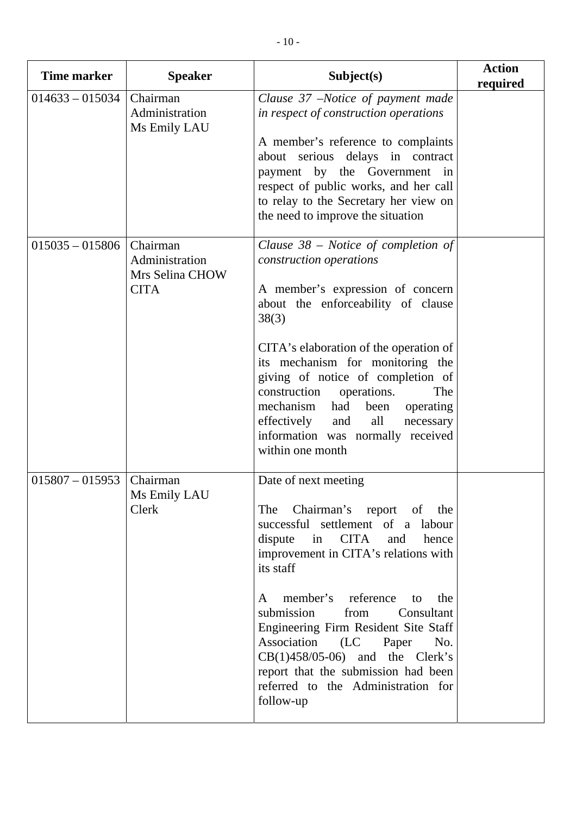| <b>Time marker</b> | <b>Speaker</b>                                               | Subject(s)                                                                                                                                                                                                                                                                                                                                                                                                                                                                    | <b>Action</b><br>required |
|--------------------|--------------------------------------------------------------|-------------------------------------------------------------------------------------------------------------------------------------------------------------------------------------------------------------------------------------------------------------------------------------------------------------------------------------------------------------------------------------------------------------------------------------------------------------------------------|---------------------------|
| $014633 - 015034$  | Chairman<br>Administration<br>Ms Emily LAU                   | Clause 37 -Notice of payment made<br>in respect of construction operations<br>A member's reference to complaints<br>about serious delays in contract<br>payment by the Government in<br>respect of public works, and her call<br>to relay to the Secretary her view on<br>the need to improve the situation                                                                                                                                                                   |                           |
| $015035 - 015806$  | Chairman<br>Administration<br>Mrs Selina CHOW<br><b>CITA</b> | Clause $38$ – Notice of completion of<br>construction operations<br>A member's expression of concern<br>about the enforceability of clause<br>38(3)<br>CITA's elaboration of the operation of<br>its mechanism for monitoring the<br>giving of notice of completion of<br>operations.<br>construction<br>The<br>mechanism<br>had<br>been<br>operating<br>effectively<br>all<br>and<br>necessary<br>information was normally received<br>within one month                      |                           |
| $015807 - 015953$  | Chairman<br>Ms Emily LAU<br>Clerk                            | Date of next meeting<br>The<br>Chairman's report of the<br>successful settlement of a labour<br>dispute<br>in CITA and<br>hence<br>improvement in CITA's relations with<br>its staff<br>reference<br>member's<br>to<br>the<br>A<br>submission<br>from<br>Consultant<br>Engineering Firm Resident Site Staff<br>Association (LC<br>Paper<br>No.<br>$CB(1)458/05-06)$ and the Clerk's<br>report that the submission had been<br>referred to the Administration for<br>follow-up |                           |